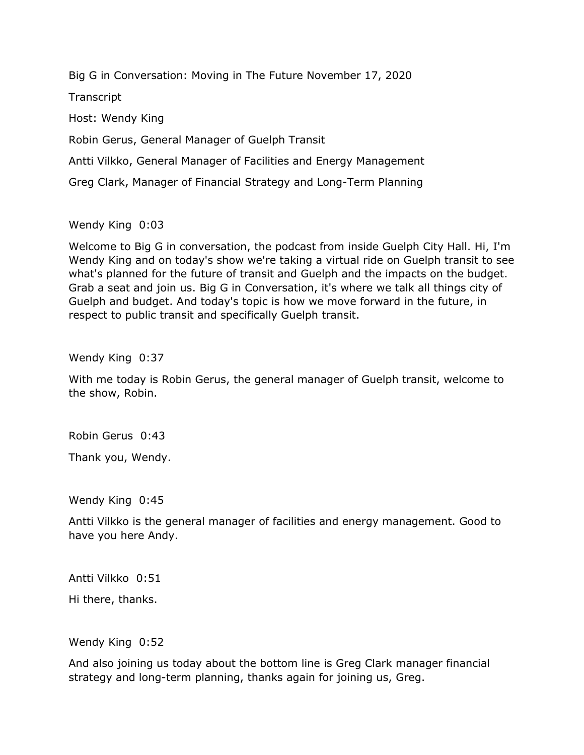Big G in Conversation: Moving in The Future November 17, 2020

**Transcript** 

Host: Wendy King

Robin Gerus, General Manager of Guelph Transit

Antti Vilkko, General Manager of Facilities and Energy Management

Greg Clark, Manager of Financial Strategy and Long-Term Planning

Wendy King 0:03

Welcome to Big G in conversation, the podcast from inside Guelph City Hall. Hi, I'm Wendy King and on today's show we're taking a virtual ride on Guelph transit to see what's planned for the future of transit and Guelph and the impacts on the budget. Grab a seat and join us. Big G in Conversation, it's where we talk all things city of Guelph and budget. And today's topic is how we move forward in the future, in respect to public transit and specifically Guelph transit.

Wendy King 0:37

With me today is Robin Gerus, the general manager of Guelph transit, welcome to the show, Robin.

Robin Gerus 0:43

Thank you, Wendy.

Wendy King 0:45

Antti Vilkko is the general manager of facilities and energy management. Good to have you here Andy.

Antti Vilkko 0:51

Hi there, thanks.

Wendy King 0:52

And also joining us today about the bottom line is Greg Clark manager financial strategy and long-term planning, thanks again for joining us, Greg.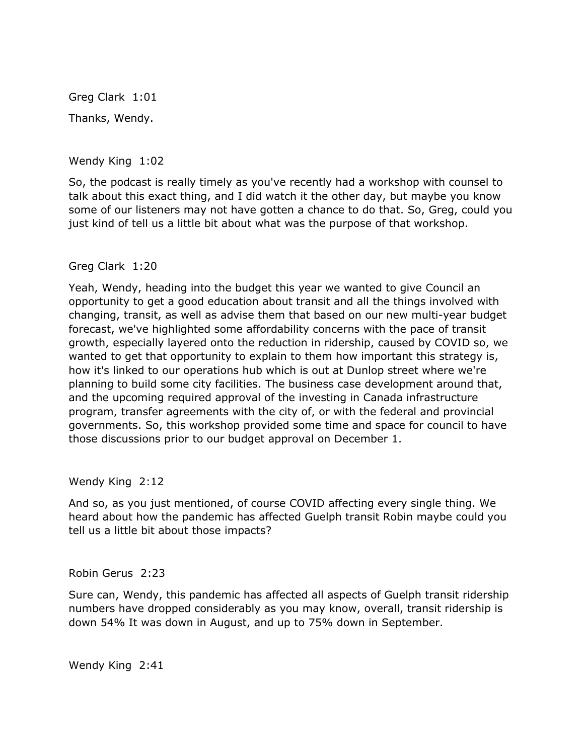Greg Clark 1:01 Thanks, Wendy.

Wendy King 1:02

So, the podcast is really timely as you've recently had a workshop with counsel to talk about this exact thing, and I did watch it the other day, but maybe you know some of our listeners may not have gotten a chance to do that. So, Greg, could you just kind of tell us a little bit about what was the purpose of that workshop.

### Greg Clark 1:20

Yeah, Wendy, heading into the budget this year we wanted to give Council an opportunity to get a good education about transit and all the things involved with changing, transit, as well as advise them that based on our new multi-year budget forecast, we've highlighted some affordability concerns with the pace of transit growth, especially layered onto the reduction in ridership, caused by COVID so, we wanted to get that opportunity to explain to them how important this strategy is, how it's linked to our operations hub which is out at Dunlop street where we're planning to build some city facilities. The business case development around that, and the upcoming required approval of the investing in Canada infrastructure program, transfer agreements with the city of, or with the federal and provincial governments. So, this workshop provided some time and space for council to have those discussions prior to our budget approval on December 1.

Wendy King 2:12

And so, as you just mentioned, of course COVID affecting every single thing. We heard about how the pandemic has affected Guelph transit Robin maybe could you tell us a little bit about those impacts?

Robin Gerus 2:23

Sure can, Wendy, this pandemic has affected all aspects of Guelph transit ridership numbers have dropped considerably as you may know, overall, transit ridership is down 54% It was down in August, and up to 75% down in September.

Wendy King 2:41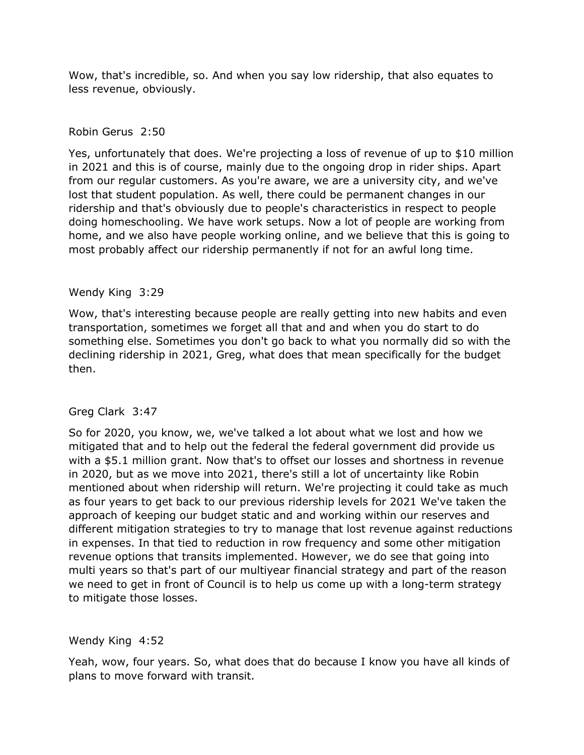Wow, that's incredible, so. And when you say low ridership, that also equates to less revenue, obviously.

## Robin Gerus 2:50

Yes, unfortunately that does. We're projecting a loss of revenue of up to \$10 million in 2021 and this is of course, mainly due to the ongoing drop in rider ships. Apart from our regular customers. As you're aware, we are a university city, and we've lost that student population. As well, there could be permanent changes in our ridership and that's obviously due to people's characteristics in respect to people doing homeschooling. We have work setups. Now a lot of people are working from home, and we also have people working online, and we believe that this is going to most probably affect our ridership permanently if not for an awful long time.

### Wendy King 3:29

Wow, that's interesting because people are really getting into new habits and even transportation, sometimes we forget all that and and when you do start to do something else. Sometimes you don't go back to what you normally did so with the declining ridership in 2021, Greg, what does that mean specifically for the budget then.

# Greg Clark 3:47

So for 2020, you know, we, we've talked a lot about what we lost and how we mitigated that and to help out the federal the federal government did provide us with a \$5.1 million grant. Now that's to offset our losses and shortness in revenue in 2020, but as we move into 2021, there's still a lot of uncertainty like Robin mentioned about when ridership will return. We're projecting it could take as much as four years to get back to our previous ridership levels for 2021 We've taken the approach of keeping our budget static and and working within our reserves and different mitigation strategies to try to manage that lost revenue against reductions in expenses. In that tied to reduction in row frequency and some other mitigation revenue options that transits implemented. However, we do see that going into multi years so that's part of our multiyear financial strategy and part of the reason we need to get in front of Council is to help us come up with a long-term strategy to mitigate those losses.

#### Wendy King 4:52

Yeah, wow, four years. So, what does that do because I know you have all kinds of plans to move forward with transit.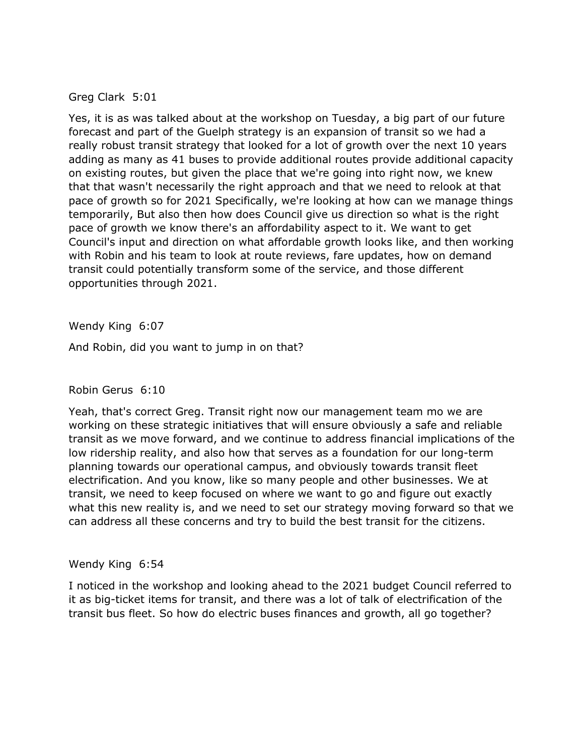# Greg Clark 5:01

Yes, it is as was talked about at the workshop on Tuesday, a big part of our future forecast and part of the Guelph strategy is an expansion of transit so we had a really robust transit strategy that looked for a lot of growth over the next 10 years adding as many as 41 buses to provide additional routes provide additional capacity on existing routes, but given the place that we're going into right now, we knew that that wasn't necessarily the right approach and that we need to relook at that pace of growth so for 2021 Specifically, we're looking at how can we manage things temporarily, But also then how does Council give us direction so what is the right pace of growth we know there's an affordability aspect to it. We want to get Council's input and direction on what affordable growth looks like, and then working with Robin and his team to look at route reviews, fare updates, how on demand transit could potentially transform some of the service, and those different opportunities through 2021.

Wendy King 6:07

And Robin, did you want to jump in on that?

# Robin Gerus 6:10

Yeah, that's correct Greg. Transit right now our management team mo we are working on these strategic initiatives that will ensure obviously a safe and reliable transit as we move forward, and we continue to address financial implications of the low ridership reality, and also how that serves as a foundation for our long-term planning towards our operational campus, and obviously towards transit fleet electrification. And you know, like so many people and other businesses. We at transit, we need to keep focused on where we want to go and figure out exactly what this new reality is, and we need to set our strategy moving forward so that we can address all these concerns and try to build the best transit for the citizens.

#### Wendy King 6:54

I noticed in the workshop and looking ahead to the 2021 budget Council referred to it as big-ticket items for transit, and there was a lot of talk of electrification of the transit bus fleet. So how do electric buses finances and growth, all go together?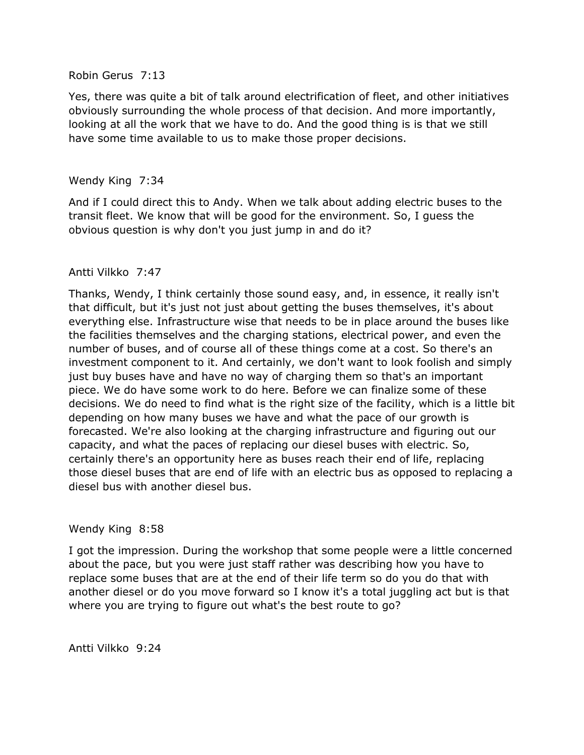#### Robin Gerus 7:13

Yes, there was quite a bit of talk around electrification of fleet, and other initiatives obviously surrounding the whole process of that decision. And more importantly, looking at all the work that we have to do. And the good thing is is that we still have some time available to us to make those proper decisions.

## Wendy King 7:34

And if I could direct this to Andy. When we talk about adding electric buses to the transit fleet. We know that will be good for the environment. So, I guess the obvious question is why don't you just jump in and do it?

### Antti Vilkko 7:47

Thanks, Wendy, I think certainly those sound easy, and, in essence, it really isn't that difficult, but it's just not just about getting the buses themselves, it's about everything else. Infrastructure wise that needs to be in place around the buses like the facilities themselves and the charging stations, electrical power, and even the number of buses, and of course all of these things come at a cost. So there's an investment component to it. And certainly, we don't want to look foolish and simply just buy buses have and have no way of charging them so that's an important piece. We do have some work to do here. Before we can finalize some of these decisions. We do need to find what is the right size of the facility, which is a little bit depending on how many buses we have and what the pace of our growth is forecasted. We're also looking at the charging infrastructure and figuring out our capacity, and what the paces of replacing our diesel buses with electric. So, certainly there's an opportunity here as buses reach their end of life, replacing those diesel buses that are end of life with an electric bus as opposed to replacing a diesel bus with another diesel bus.

#### Wendy King 8:58

I got the impression. During the workshop that some people were a little concerned about the pace, but you were just staff rather was describing how you have to replace some buses that are at the end of their life term so do you do that with another diesel or do you move forward so I know it's a total juggling act but is that where you are trying to figure out what's the best route to go?

Antti Vilkko 9:24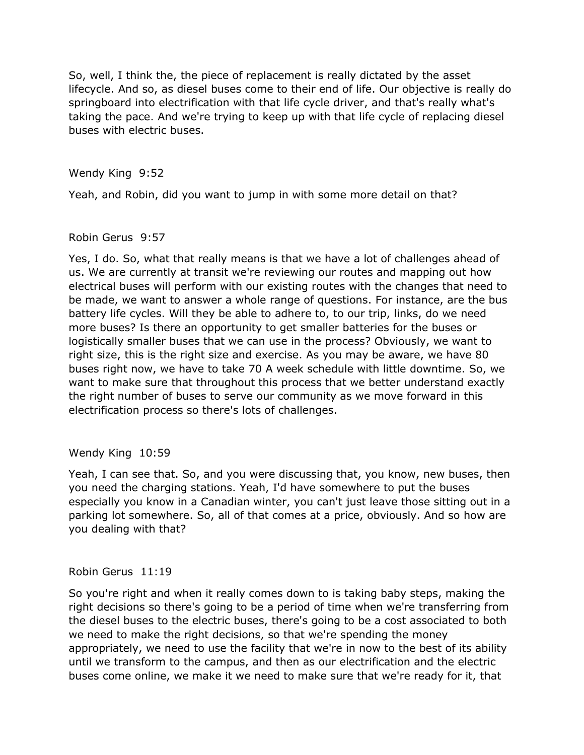So, well, I think the, the piece of replacement is really dictated by the asset lifecycle. And so, as diesel buses come to their end of life. Our objective is really do springboard into electrification with that life cycle driver, and that's really what's taking the pace. And we're trying to keep up with that life cycle of replacing diesel buses with electric buses.

Wendy King 9:52

Yeah, and Robin, did you want to jump in with some more detail on that?

### Robin Gerus 9:57

Yes, I do. So, what that really means is that we have a lot of challenges ahead of us. We are currently at transit we're reviewing our routes and mapping out how electrical buses will perform with our existing routes with the changes that need to be made, we want to answer a whole range of questions. For instance, are the bus battery life cycles. Will they be able to adhere to, to our trip, links, do we need more buses? Is there an opportunity to get smaller batteries for the buses or logistically smaller buses that we can use in the process? Obviously, we want to right size, this is the right size and exercise. As you may be aware, we have 80 buses right now, we have to take 70 A week schedule with little downtime. So, we want to make sure that throughout this process that we better understand exactly the right number of buses to serve our community as we move forward in this electrification process so there's lots of challenges.

# Wendy King 10:59

Yeah, I can see that. So, and you were discussing that, you know, new buses, then you need the charging stations. Yeah, I'd have somewhere to put the buses especially you know in a Canadian winter, you can't just leave those sitting out in a parking lot somewhere. So, all of that comes at a price, obviously. And so how are you dealing with that?

#### Robin Gerus 11:19

So you're right and when it really comes down to is taking baby steps, making the right decisions so there's going to be a period of time when we're transferring from the diesel buses to the electric buses, there's going to be a cost associated to both we need to make the right decisions, so that we're spending the money appropriately, we need to use the facility that we're in now to the best of its ability until we transform to the campus, and then as our electrification and the electric buses come online, we make it we need to make sure that we're ready for it, that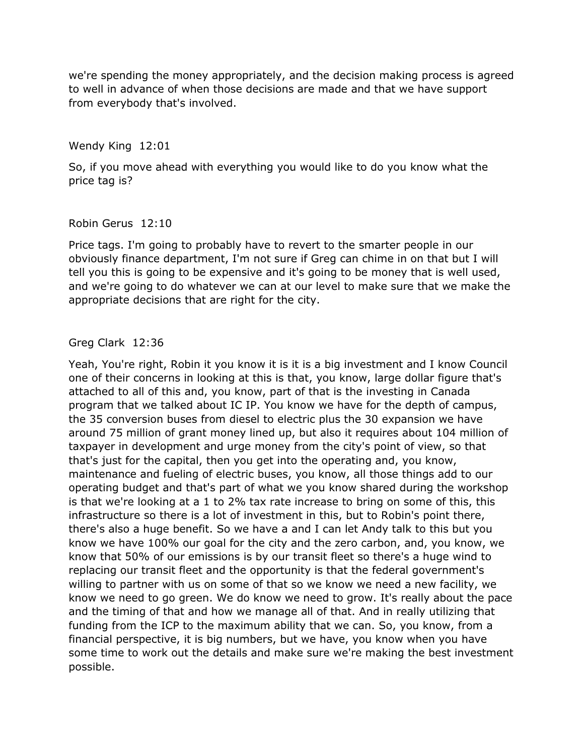we're spending the money appropriately, and the decision making process is agreed to well in advance of when those decisions are made and that we have support from everybody that's involved.

Wendy King 12:01

So, if you move ahead with everything you would like to do you know what the price tag is?

Robin Gerus 12:10

Price tags. I'm going to probably have to revert to the smarter people in our obviously finance department, I'm not sure if Greg can chime in on that but I will tell you this is going to be expensive and it's going to be money that is well used, and we're going to do whatever we can at our level to make sure that we make the appropriate decisions that are right for the city.

### Greg Clark 12:36

Yeah, You're right, Robin it you know it is it is a big investment and I know Council one of their concerns in looking at this is that, you know, large dollar figure that's attached to all of this and, you know, part of that is the investing in Canada program that we talked about IC IP. You know we have for the depth of campus, the 35 conversion buses from diesel to electric plus the 30 expansion we have around 75 million of grant money lined up, but also it requires about 104 million of taxpayer in development and urge money from the city's point of view, so that that's just for the capital, then you get into the operating and, you know, maintenance and fueling of electric buses, you know, all those things add to our operating budget and that's part of what we you know shared during the workshop is that we're looking at a 1 to 2% tax rate increase to bring on some of this, this infrastructure so there is a lot of investment in this, but to Robin's point there, there's also a huge benefit. So we have a and I can let Andy talk to this but you know we have 100% our goal for the city and the zero carbon, and, you know, we know that 50% of our emissions is by our transit fleet so there's a huge wind to replacing our transit fleet and the opportunity is that the federal government's willing to partner with us on some of that so we know we need a new facility, we know we need to go green. We do know we need to grow. It's really about the pace and the timing of that and how we manage all of that. And in really utilizing that funding from the ICP to the maximum ability that we can. So, you know, from a financial perspective, it is big numbers, but we have, you know when you have some time to work out the details and make sure we're making the best investment possible.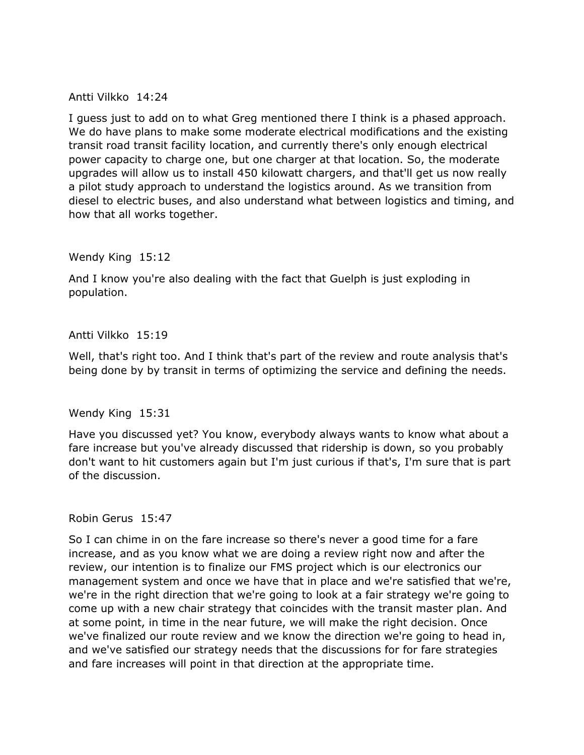Antti Vilkko 14:24

I guess just to add on to what Greg mentioned there I think is a phased approach. We do have plans to make some moderate electrical modifications and the existing transit road transit facility location, and currently there's only enough electrical power capacity to charge one, but one charger at that location. So, the moderate upgrades will allow us to install 450 kilowatt chargers, and that'll get us now really a pilot study approach to understand the logistics around. As we transition from diesel to electric buses, and also understand what between logistics and timing, and how that all works together.

Wendy King 15:12

And I know you're also dealing with the fact that Guelph is just exploding in population.

### Antti Vilkko 15:19

Well, that's right too. And I think that's part of the review and route analysis that's being done by by transit in terms of optimizing the service and defining the needs.

Wendy King 15:31

Have you discussed yet? You know, everybody always wants to know what about a fare increase but you've already discussed that ridership is down, so you probably don't want to hit customers again but I'm just curious if that's, I'm sure that is part of the discussion.

Robin Gerus 15:47

So I can chime in on the fare increase so there's never a good time for a fare increase, and as you know what we are doing a review right now and after the review, our intention is to finalize our FMS project which is our electronics our management system and once we have that in place and we're satisfied that we're, we're in the right direction that we're going to look at a fair strategy we're going to come up with a new chair strategy that coincides with the transit master plan. And at some point, in time in the near future, we will make the right decision. Once we've finalized our route review and we know the direction we're going to head in, and we've satisfied our strategy needs that the discussions for for fare strategies and fare increases will point in that direction at the appropriate time.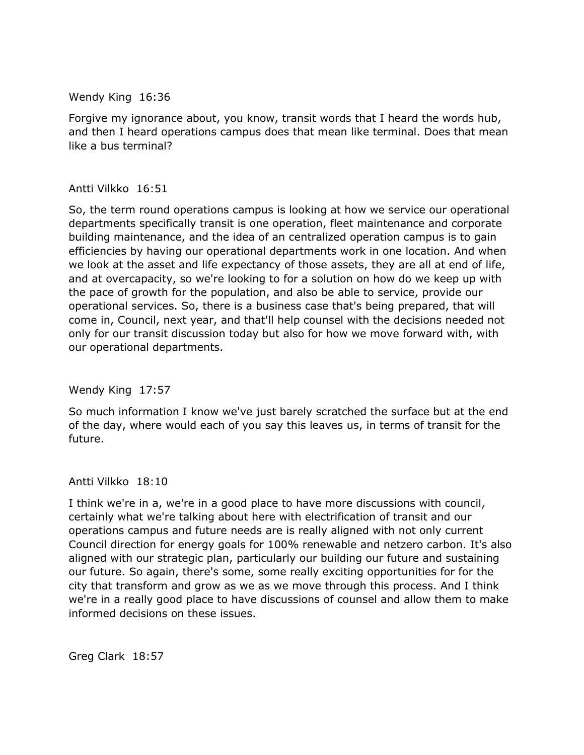Wendy King 16:36

Forgive my ignorance about, you know, transit words that I heard the words hub, and then I heard operations campus does that mean like terminal. Does that mean like a bus terminal?

### Antti Vilkko 16:51

So, the term round operations campus is looking at how we service our operational departments specifically transit is one operation, fleet maintenance and corporate building maintenance, and the idea of an centralized operation campus is to gain efficiencies by having our operational departments work in one location. And when we look at the asset and life expectancy of those assets, they are all at end of life, and at overcapacity, so we're looking to for a solution on how do we keep up with the pace of growth for the population, and also be able to service, provide our operational services. So, there is a business case that's being prepared, that will come in, Council, next year, and that'll help counsel with the decisions needed not only for our transit discussion today but also for how we move forward with, with our operational departments.

Wendy King 17:57

So much information I know we've just barely scratched the surface but at the end of the day, where would each of you say this leaves us, in terms of transit for the future.

#### Antti Vilkko 18:10

I think we're in a, we're in a good place to have more discussions with council, certainly what we're talking about here with electrification of transit and our operations campus and future needs are is really aligned with not only current Council direction for energy goals for 100% renewable and netzero carbon. It's also aligned with our strategic plan, particularly our building our future and sustaining our future. So again, there's some, some really exciting opportunities for for the city that transform and grow as we as we move through this process. And I think we're in a really good place to have discussions of counsel and allow them to make informed decisions on these issues.

Greg Clark 18:57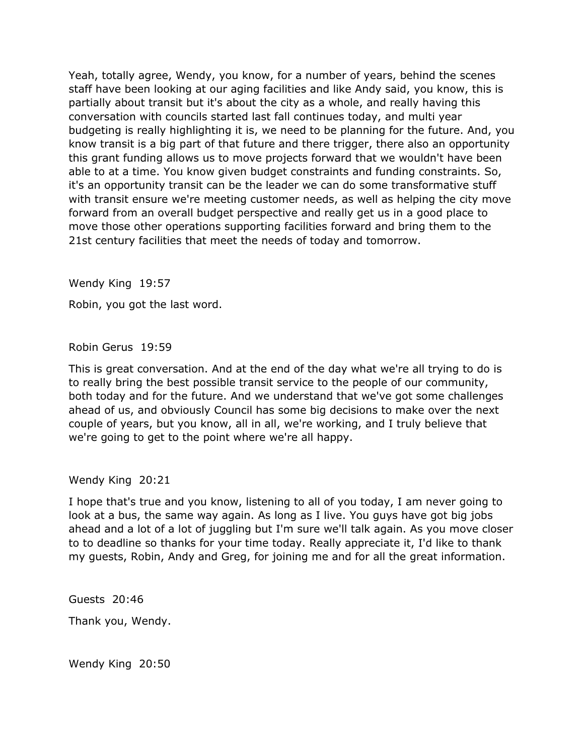Yeah, totally agree, Wendy, you know, for a number of years, behind the scenes staff have been looking at our aging facilities and like Andy said, you know, this is partially about transit but it's about the city as a whole, and really having this conversation with councils started last fall continues today, and multi year budgeting is really highlighting it is, we need to be planning for the future. And, you know transit is a big part of that future and there trigger, there also an opportunity this grant funding allows us to move projects forward that we wouldn't have been able to at a time. You know given budget constraints and funding constraints. So, it's an opportunity transit can be the leader we can do some transformative stuff with transit ensure we're meeting customer needs, as well as helping the city move forward from an overall budget perspective and really get us in a good place to move those other operations supporting facilities forward and bring them to the 21st century facilities that meet the needs of today and tomorrow.

Wendy King 19:57

Robin, you got the last word.

Robin Gerus 19:59

This is great conversation. And at the end of the day what we're all trying to do is to really bring the best possible transit service to the people of our community, both today and for the future. And we understand that we've got some challenges ahead of us, and obviously Council has some big decisions to make over the next couple of years, but you know, all in all, we're working, and I truly believe that we're going to get to the point where we're all happy.

Wendy King 20:21

I hope that's true and you know, listening to all of you today, I am never going to look at a bus, the same way again. As long as I live. You guys have got big jobs ahead and a lot of a lot of juggling but I'm sure we'll talk again. As you move closer to to deadline so thanks for your time today. Really appreciate it, I'd like to thank my guests, Robin, Andy and Greg, for joining me and for all the great information.

Guests 20:46

Thank you, Wendy.

Wendy King 20:50